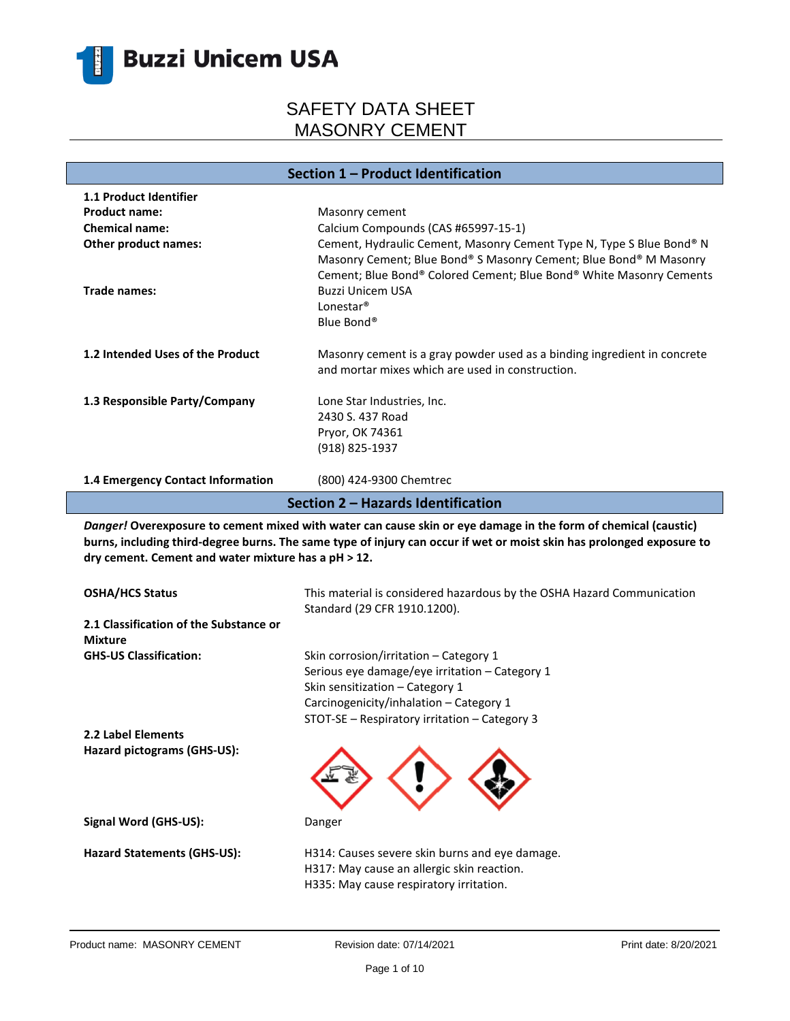

| Section 1 - Product Identification                                            |                                                                                                                                                                                                                                                                               |  |
|-------------------------------------------------------------------------------|-------------------------------------------------------------------------------------------------------------------------------------------------------------------------------------------------------------------------------------------------------------------------------|--|
| 1.1 Product Identifier                                                        |                                                                                                                                                                                                                                                                               |  |
| <b>Product name:</b>                                                          | Masonry cement                                                                                                                                                                                                                                                                |  |
| <b>Chemical name:</b>                                                         | Calcium Compounds (CAS #65997-15-1)                                                                                                                                                                                                                                           |  |
| Other product names:<br>Trade names:                                          | Cement, Hydraulic Cement, Masonry Cement Type N, Type S Blue Bond® N<br>Masonry Cement; Blue Bond® S Masonry Cement; Blue Bond® M Masonry<br>Cement; Blue Bond® Colored Cement; Blue Bond® White Masonry Cements<br><b>Buzzi Unicem USA</b>                                   |  |
|                                                                               | Lonestar <sup>®</sup><br>Blue Bond®                                                                                                                                                                                                                                           |  |
| 1.2 Intended Uses of the Product                                              | Masonry cement is a gray powder used as a binding ingredient in concrete<br>and mortar mixes which are used in construction.                                                                                                                                                  |  |
| 1.3 Responsible Party/Company                                                 | Lone Star Industries, Inc.                                                                                                                                                                                                                                                    |  |
|                                                                               | 2430 S. 437 Road                                                                                                                                                                                                                                                              |  |
|                                                                               | Pryor, OK 74361                                                                                                                                                                                                                                                               |  |
|                                                                               | (918) 825-1937                                                                                                                                                                                                                                                                |  |
| 1.4 Emergency Contact Information                                             | (800) 424-9300 Chemtrec                                                                                                                                                                                                                                                       |  |
|                                                                               |                                                                                                                                                                                                                                                                               |  |
|                                                                               | Section 2 - Hazards Identification<br>Danger! Overexposure to cement mixed with water can cause skin or eye damage in the form of chemical (caustic)<br>burns, including third-degree burns. The same type of injury can occur if wet or moist skin has prolonged exposure to |  |
| dry cement. Cement and water mixture has a pH > 12.<br><b>OSHA/HCS Status</b> | This material is considered hazardous by the OSHA Hazard Communication                                                                                                                                                                                                        |  |
| 2.1 Classification of the Substance or                                        | Standard (29 CFR 1910.1200).                                                                                                                                                                                                                                                  |  |
| <b>Mixture</b><br><b>GHS-US Classification:</b>                               | Skin corrosion/irritation - Category 1                                                                                                                                                                                                                                        |  |
|                                                                               | Serious eye damage/eye irritation - Category 1                                                                                                                                                                                                                                |  |
|                                                                               | Skin sensitization - Category 1                                                                                                                                                                                                                                               |  |
|                                                                               | Carcinogenicity/inhalation - Category 1                                                                                                                                                                                                                                       |  |
|                                                                               | STOT-SE - Respiratory irritation - Category 3                                                                                                                                                                                                                                 |  |
| 2.2 Label Elements                                                            |                                                                                                                                                                                                                                                                               |  |
| Hazard pictograms (GHS-US):                                                   |                                                                                                                                                                                                                                                                               |  |
| Signal Word (GHS-US):                                                         | Danger                                                                                                                                                                                                                                                                        |  |
| <b>Hazard Statements (GHS-US):</b>                                            | H314: Causes severe skin burns and eye damage.                                                                                                                                                                                                                                |  |
|                                                                               | H317: May cause an allergic skin reaction.                                                                                                                                                                                                                                    |  |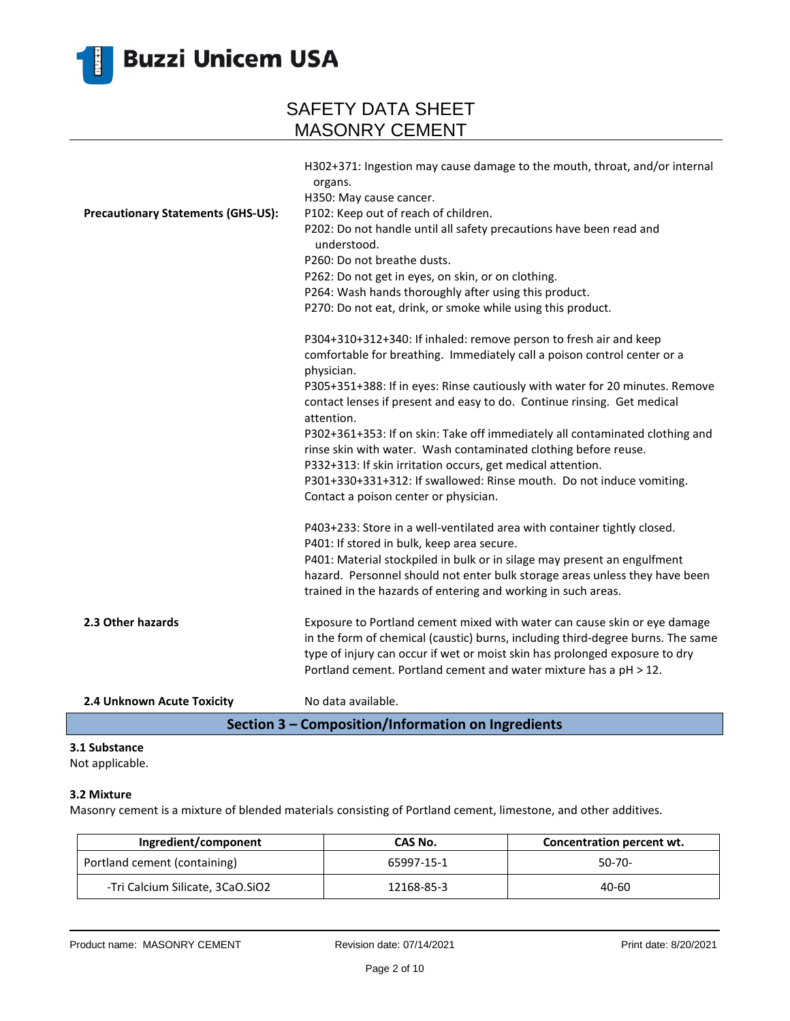

| organs.<br>H350: May cause cancer.<br>P102: Keep out of reach of children.<br><b>Precautionary Statements (GHS-US):</b><br>P202: Do not handle until all safety precautions have been read and<br>understood.<br>P260: Do not breathe dusts.<br>P262: Do not get in eyes, on skin, or on clothing.<br>P264: Wash hands thoroughly after using this product.<br>P270: Do not eat, drink, or smoke while using this product.<br>P304+310+312+340: If inhaled: remove person to fresh air and keep<br>comfortable for breathing. Immediately call a poison control center or a<br>physician.<br>P305+351+388: If in eyes: Rinse cautiously with water for 20 minutes. Remove<br>contact lenses if present and easy to do. Continue rinsing. Get medical<br>attention.<br>P302+361+353: If on skin: Take off immediately all contaminated clothing and<br>rinse skin with water. Wash contaminated clothing before reuse.<br>P332+313: If skin irritation occurs, get medical attention.<br>P301+330+331+312: If swallowed: Rinse mouth. Do not induce vomiting.<br>Contact a poison center or physician.<br>P403+233: Store in a well-ventilated area with container tightly closed.<br>P401: If stored in bulk, keep area secure.<br>P401: Material stockpiled in bulk or in silage may present an engulfment<br>hazard. Personnel should not enter bulk storage areas unless they have been<br>trained in the hazards of entering and working in such areas.<br>2.3 Other hazards<br>Exposure to Portland cement mixed with water can cause skin or eye damage<br>in the form of chemical (caustic) burns, including third-degree burns. The same<br>type of injury can occur if wet or moist skin has prolonged exposure to dry<br>Portland cement. Portland cement and water mixture has a pH > 12.<br>No data available.<br>2.4 Unknown Acute Toxicity | H302+371: Ingestion may cause damage to the mouth, throat, and/or internal |
|----------------------------------------------------------------------------------------------------------------------------------------------------------------------------------------------------------------------------------------------------------------------------------------------------------------------------------------------------------------------------------------------------------------------------------------------------------------------------------------------------------------------------------------------------------------------------------------------------------------------------------------------------------------------------------------------------------------------------------------------------------------------------------------------------------------------------------------------------------------------------------------------------------------------------------------------------------------------------------------------------------------------------------------------------------------------------------------------------------------------------------------------------------------------------------------------------------------------------------------------------------------------------------------------------------------------------------------------------------------------------------------------------------------------------------------------------------------------------------------------------------------------------------------------------------------------------------------------------------------------------------------------------------------------------------------------------------------------------------------------------------------------------------------------------------------------------------------------------------|----------------------------------------------------------------------------|
|                                                                                                                                                                                                                                                                                                                                                                                                                                                                                                                                                                                                                                                                                                                                                                                                                                                                                                                                                                                                                                                                                                                                                                                                                                                                                                                                                                                                                                                                                                                                                                                                                                                                                                                                                                                                                                                          |                                                                            |
|                                                                                                                                                                                                                                                                                                                                                                                                                                                                                                                                                                                                                                                                                                                                                                                                                                                                                                                                                                                                                                                                                                                                                                                                                                                                                                                                                                                                                                                                                                                                                                                                                                                                                                                                                                                                                                                          |                                                                            |
|                                                                                                                                                                                                                                                                                                                                                                                                                                                                                                                                                                                                                                                                                                                                                                                                                                                                                                                                                                                                                                                                                                                                                                                                                                                                                                                                                                                                                                                                                                                                                                                                                                                                                                                                                                                                                                                          |                                                                            |
|                                                                                                                                                                                                                                                                                                                                                                                                                                                                                                                                                                                                                                                                                                                                                                                                                                                                                                                                                                                                                                                                                                                                                                                                                                                                                                                                                                                                                                                                                                                                                                                                                                                                                                                                                                                                                                                          |                                                                            |
|                                                                                                                                                                                                                                                                                                                                                                                                                                                                                                                                                                                                                                                                                                                                                                                                                                                                                                                                                                                                                                                                                                                                                                                                                                                                                                                                                                                                                                                                                                                                                                                                                                                                                                                                                                                                                                                          |                                                                            |
|                                                                                                                                                                                                                                                                                                                                                                                                                                                                                                                                                                                                                                                                                                                                                                                                                                                                                                                                                                                                                                                                                                                                                                                                                                                                                                                                                                                                                                                                                                                                                                                                                                                                                                                                                                                                                                                          |                                                                            |
|                                                                                                                                                                                                                                                                                                                                                                                                                                                                                                                                                                                                                                                                                                                                                                                                                                                                                                                                                                                                                                                                                                                                                                                                                                                                                                                                                                                                                                                                                                                                                                                                                                                                                                                                                                                                                                                          |                                                                            |
|                                                                                                                                                                                                                                                                                                                                                                                                                                                                                                                                                                                                                                                                                                                                                                                                                                                                                                                                                                                                                                                                                                                                                                                                                                                                                                                                                                                                                                                                                                                                                                                                                                                                                                                                                                                                                                                          |                                                                            |
|                                                                                                                                                                                                                                                                                                                                                                                                                                                                                                                                                                                                                                                                                                                                                                                                                                                                                                                                                                                                                                                                                                                                                                                                                                                                                                                                                                                                                                                                                                                                                                                                                                                                                                                                                                                                                                                          |                                                                            |
|                                                                                                                                                                                                                                                                                                                                                                                                                                                                                                                                                                                                                                                                                                                                                                                                                                                                                                                                                                                                                                                                                                                                                                                                                                                                                                                                                                                                                                                                                                                                                                                                                                                                                                                                                                                                                                                          |                                                                            |
|                                                                                                                                                                                                                                                                                                                                                                                                                                                                                                                                                                                                                                                                                                                                                                                                                                                                                                                                                                                                                                                                                                                                                                                                                                                                                                                                                                                                                                                                                                                                                                                                                                                                                                                                                                                                                                                          |                                                                            |
|                                                                                                                                                                                                                                                                                                                                                                                                                                                                                                                                                                                                                                                                                                                                                                                                                                                                                                                                                                                                                                                                                                                                                                                                                                                                                                                                                                                                                                                                                                                                                                                                                                                                                                                                                                                                                                                          |                                                                            |
|                                                                                                                                                                                                                                                                                                                                                                                                                                                                                                                                                                                                                                                                                                                                                                                                                                                                                                                                                                                                                                                                                                                                                                                                                                                                                                                                                                                                                                                                                                                                                                                                                                                                                                                                                                                                                                                          |                                                                            |
|                                                                                                                                                                                                                                                                                                                                                                                                                                                                                                                                                                                                                                                                                                                                                                                                                                                                                                                                                                                                                                                                                                                                                                                                                                                                                                                                                                                                                                                                                                                                                                                                                                                                                                                                                                                                                                                          |                                                                            |
|                                                                                                                                                                                                                                                                                                                                                                                                                                                                                                                                                                                                                                                                                                                                                                                                                                                                                                                                                                                                                                                                                                                                                                                                                                                                                                                                                                                                                                                                                                                                                                                                                                                                                                                                                                                                                                                          |                                                                            |
|                                                                                                                                                                                                                                                                                                                                                                                                                                                                                                                                                                                                                                                                                                                                                                                                                                                                                                                                                                                                                                                                                                                                                                                                                                                                                                                                                                                                                                                                                                                                                                                                                                                                                                                                                                                                                                                          |                                                                            |
|                                                                                                                                                                                                                                                                                                                                                                                                                                                                                                                                                                                                                                                                                                                                                                                                                                                                                                                                                                                                                                                                                                                                                                                                                                                                                                                                                                                                                                                                                                                                                                                                                                                                                                                                                                                                                                                          |                                                                            |
|                                                                                                                                                                                                                                                                                                                                                                                                                                                                                                                                                                                                                                                                                                                                                                                                                                                                                                                                                                                                                                                                                                                                                                                                                                                                                                                                                                                                                                                                                                                                                                                                                                                                                                                                                                                                                                                          |                                                                            |
|                                                                                                                                                                                                                                                                                                                                                                                                                                                                                                                                                                                                                                                                                                                                                                                                                                                                                                                                                                                                                                                                                                                                                                                                                                                                                                                                                                                                                                                                                                                                                                                                                                                                                                                                                                                                                                                          |                                                                            |
|                                                                                                                                                                                                                                                                                                                                                                                                                                                                                                                                                                                                                                                                                                                                                                                                                                                                                                                                                                                                                                                                                                                                                                                                                                                                                                                                                                                                                                                                                                                                                                                                                                                                                                                                                                                                                                                          |                                                                            |
|                                                                                                                                                                                                                                                                                                                                                                                                                                                                                                                                                                                                                                                                                                                                                                                                                                                                                                                                                                                                                                                                                                                                                                                                                                                                                                                                                                                                                                                                                                                                                                                                                                                                                                                                                                                                                                                          |                                                                            |
|                                                                                                                                                                                                                                                                                                                                                                                                                                                                                                                                                                                                                                                                                                                                                                                                                                                                                                                                                                                                                                                                                                                                                                                                                                                                                                                                                                                                                                                                                                                                                                                                                                                                                                                                                                                                                                                          |                                                                            |
|                                                                                                                                                                                                                                                                                                                                                                                                                                                                                                                                                                                                                                                                                                                                                                                                                                                                                                                                                                                                                                                                                                                                                                                                                                                                                                                                                                                                                                                                                                                                                                                                                                                                                                                                                                                                                                                          |                                                                            |
|                                                                                                                                                                                                                                                                                                                                                                                                                                                                                                                                                                                                                                                                                                                                                                                                                                                                                                                                                                                                                                                                                                                                                                                                                                                                                                                                                                                                                                                                                                                                                                                                                                                                                                                                                                                                                                                          |                                                                            |
|                                                                                                                                                                                                                                                                                                                                                                                                                                                                                                                                                                                                                                                                                                                                                                                                                                                                                                                                                                                                                                                                                                                                                                                                                                                                                                                                                                                                                                                                                                                                                                                                                                                                                                                                                                                                                                                          |                                                                            |
|                                                                                                                                                                                                                                                                                                                                                                                                                                                                                                                                                                                                                                                                                                                                                                                                                                                                                                                                                                                                                                                                                                                                                                                                                                                                                                                                                                                                                                                                                                                                                                                                                                                                                                                                                                                                                                                          |                                                                            |
|                                                                                                                                                                                                                                                                                                                                                                                                                                                                                                                                                                                                                                                                                                                                                                                                                                                                                                                                                                                                                                                                                                                                                                                                                                                                                                                                                                                                                                                                                                                                                                                                                                                                                                                                                                                                                                                          |                                                                            |

#### **Section 3 – Composition/Information on Ingredients**

### **3.1 Substance**

Not applicable.

#### **3.2 Mixture**

Masonry cement is a mixture of blended materials consisting of Portland cement, limestone, and other additives.

| Ingredient/component             | CAS No.    | Concentration percent wt. |
|----------------------------------|------------|---------------------------|
| Portland cement (containing)     | 65997-15-1 | $50-70-$                  |
| -Tri Calcium Silicate, 3CaO.SiO2 | 12168-85-3 | 40-60                     |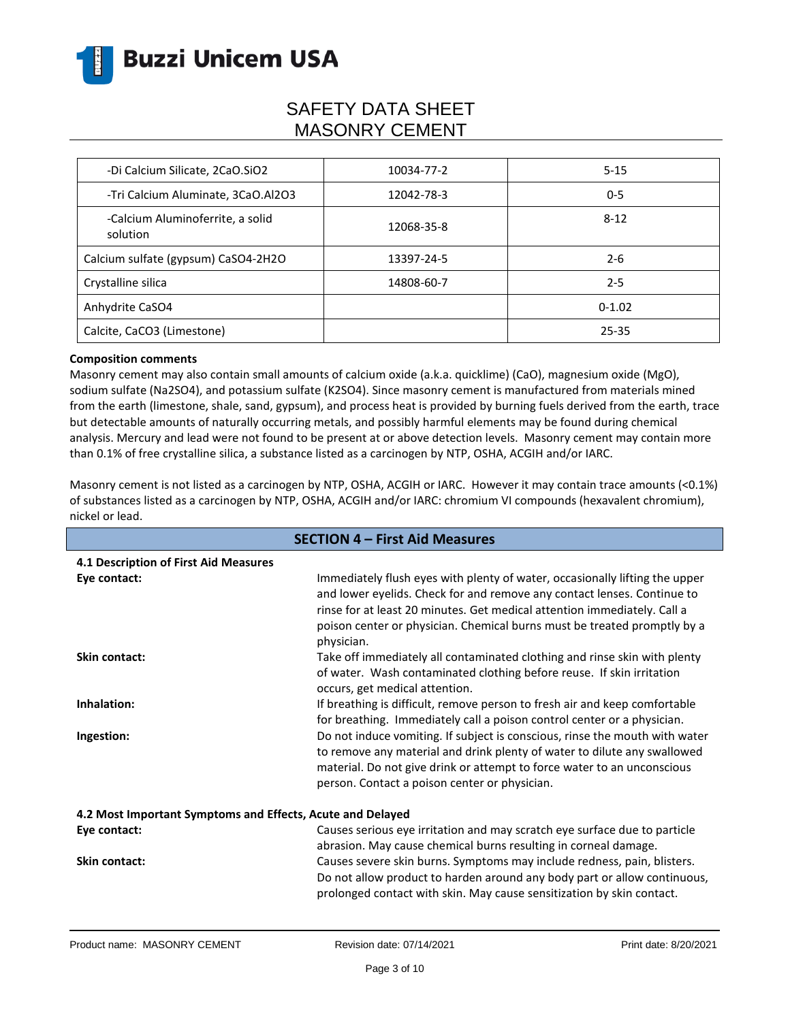

| -Di Calcium Silicate, 2CaO.SiO2              | 10034-77-2 | $5 - 15$ |
|----------------------------------------------|------------|----------|
| -Tri Calcium Aluminate, 3CaO.Al2O3           | 12042-78-3 | $0 - 5$  |
| -Calcium Aluminoferrite, a solid<br>solution | 12068-35-8 | $8 - 12$ |
| Calcium sulfate (gypsum) CaSO4-2H2O          | 13397-24-5 | $2 - 6$  |
| Crystalline silica                           | 14808-60-7 | $2 - 5$  |
| Anhydrite CaSO4                              |            | $0-1.02$ |
| Calcite, CaCO3 (Limestone)                   |            | 25-35    |

#### **Composition comments**

Masonry cement may also contain small amounts of calcium oxide (a.k.a. quicklime) (CaO), magnesium oxide (MgO), sodium sulfate (Na2SO4), and potassium sulfate (K2SO4). Since masonry cement is manufactured from materials mined from the earth (limestone, shale, sand, gypsum), and process heat is provided by burning fuels derived from the earth, trace but detectable amounts of naturally occurring metals, and possibly harmful elements may be found during chemical analysis. Mercury and lead were not found to be present at or above detection levels. Masonry cement may contain more than 0.1% of free crystalline silica, a substance listed as a carcinogen by NTP, OSHA, ACGIH and/or IARC.

Masonry cement is not listed as a carcinogen by NTP, OSHA, ACGIH or IARC. However it may contain trace amounts (<0.1%) of substances listed as a carcinogen by NTP, OSHA, ACGIH and/or IARC: chromium VI compounds (hexavalent chromium), nickel or lead.

| <b>SECTION 4 - First Aid Measures</b>                      |                                                                                                                                                                                                                                                                                                                              |  |
|------------------------------------------------------------|------------------------------------------------------------------------------------------------------------------------------------------------------------------------------------------------------------------------------------------------------------------------------------------------------------------------------|--|
| 4.1 Description of First Aid Measures                      |                                                                                                                                                                                                                                                                                                                              |  |
| Eye contact:                                               | Immediately flush eyes with plenty of water, occasionally lifting the upper<br>and lower eyelids. Check for and remove any contact lenses. Continue to<br>rinse for at least 20 minutes. Get medical attention immediately. Call a<br>poison center or physician. Chemical burns must be treated promptly by a<br>physician. |  |
| <b>Skin contact:</b>                                       | Take off immediately all contaminated clothing and rinse skin with plenty<br>of water. Wash contaminated clothing before reuse. If skin irritation<br>occurs, get medical attention.                                                                                                                                         |  |
| Inhalation:                                                | If breathing is difficult, remove person to fresh air and keep comfortable<br>for breathing. Immediately call a poison control center or a physician.                                                                                                                                                                        |  |
| Ingestion:                                                 | Do not induce vomiting. If subject is conscious, rinse the mouth with water<br>to remove any material and drink plenty of water to dilute any swallowed<br>material. Do not give drink or attempt to force water to an unconscious<br>person. Contact a poison center or physician.                                          |  |
| 4.2 Most Important Symptoms and Effects, Acute and Delayed |                                                                                                                                                                                                                                                                                                                              |  |
| Eye contact:                                               | Causes serious eye irritation and may scratch eye surface due to particle<br>abrasion. May cause chemical burns resulting in corneal damage.                                                                                                                                                                                 |  |
| <b>Skin contact:</b>                                       | Causes severe skin burns. Symptoms may include redness, pain, blisters.<br>Do not allow product to harden around any body part or allow continuous,<br>prolonged contact with skin. May cause sensitization by skin contact.                                                                                                 |  |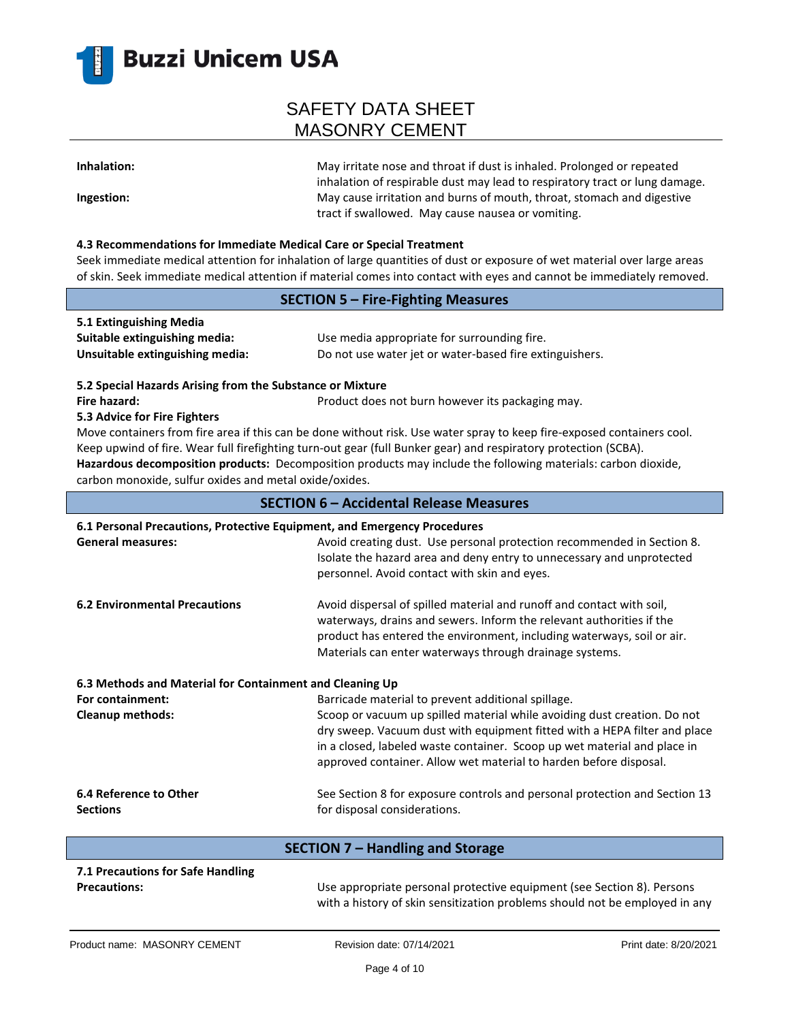

**Inhalation:** May irritate nose and throat if dust is inhaled. Prolonged or repeated inhalation of respirable dust may lead to respiratory tract or lung damage. **Ingestion:** May cause irritation and burns of mouth, throat, stomach and digestive tract if swallowed. May cause nausea or vomiting.

#### **4.3 Recommendations for Immediate Medical Care or Special Treatment**

Seek immediate medical attention for inhalation of large quantities of dust or exposure of wet material over large areas of skin. Seek immediate medical attention if material comes into contact with eyes and cannot be immediately removed.

|                                                                          | OF SKIH. SEEK IHMIEUMALE MEUILM ALLEMUON II MALEMAI LONIES INLO LONIALL WILH EYES ANU LAMNOL DE IMMIEUMENT TEMOVEU.                                                                                                                                                                                                                                        |
|--------------------------------------------------------------------------|------------------------------------------------------------------------------------------------------------------------------------------------------------------------------------------------------------------------------------------------------------------------------------------------------------------------------------------------------------|
| <b>SECTION 5 - Fire-Fighting Measures</b>                                |                                                                                                                                                                                                                                                                                                                                                            |
| 5.1 Extinguishing Media                                                  |                                                                                                                                                                                                                                                                                                                                                            |
| Suitable extinguishing media:                                            | Use media appropriate for surrounding fire.                                                                                                                                                                                                                                                                                                                |
| Unsuitable extinguishing media:                                          | Do not use water jet or water-based fire extinguishers.                                                                                                                                                                                                                                                                                                    |
| 5.2 Special Hazards Arising from the Substance or Mixture                |                                                                                                                                                                                                                                                                                                                                                            |
| Fire hazard:                                                             | Product does not burn however its packaging may.                                                                                                                                                                                                                                                                                                           |
| 5.3 Advice for Fire Fighters                                             |                                                                                                                                                                                                                                                                                                                                                            |
|                                                                          | Move containers from fire area if this can be done without risk. Use water spray to keep fire-exposed containers cool.<br>Keep upwind of fire. Wear full firefighting turn-out gear (full Bunker gear) and respiratory protection (SCBA).<br>Hazardous decomposition products: Decomposition products may include the following materials: carbon dioxide, |
| carbon monoxide, sulfur oxides and metal oxide/oxides.                   |                                                                                                                                                                                                                                                                                                                                                            |
|                                                                          | <b>SECTION 6 - Accidental Release Measures</b>                                                                                                                                                                                                                                                                                                             |
| 6.1 Personal Precautions, Protective Equipment, and Emergency Procedures |                                                                                                                                                                                                                                                                                                                                                            |
| <b>General measures:</b>                                                 | Avoid creating dust. Use personal protection recommended in Section 8.<br>Isolate the hazard area and deny entry to unnecessary and unprotected<br>personnel. Avoid contact with skin and eyes.                                                                                                                                                            |
| <b>6.2 Environmental Precautions</b>                                     | Avoid dispersal of spilled material and runoff and contact with soil,<br>waterways, drains and sewers. Inform the relevant authorities if the<br>product has entered the environment, including waterways, soil or air.<br>Materials can enter waterways through drainage systems.                                                                         |
| 6.3 Methods and Material for Containment and Cleaning Up                 |                                                                                                                                                                                                                                                                                                                                                            |
| For containment:                                                         | Barricade material to prevent additional spillage.                                                                                                                                                                                                                                                                                                         |
| Cleanup methods:                                                         | Scoop or vacuum up spilled material while avoiding dust creation. Do not<br>dry sweep. Vacuum dust with equipment fitted with a HEPA filter and place<br>in a closed, labeled waste container. Scoop up wet material and place in<br>approved container. Allow wet material to harden before disposal.                                                     |
| 6.4 Reference to Other                                                   | See Section 8 for exposure controls and personal protection and Section 13                                                                                                                                                                                                                                                                                 |

**Sections**

for disposal considerations.

| SECTION 7 – Handling and Storage  |                                                                                                                                                       |  |
|-----------------------------------|-------------------------------------------------------------------------------------------------------------------------------------------------------|--|
| 7.1 Precautions for Safe Handling |                                                                                                                                                       |  |
| <b>Precautions:</b>               | Use appropriate personal protective equipment (see Section 8). Persons<br>with a history of skin sensitization problems should not be employed in any |  |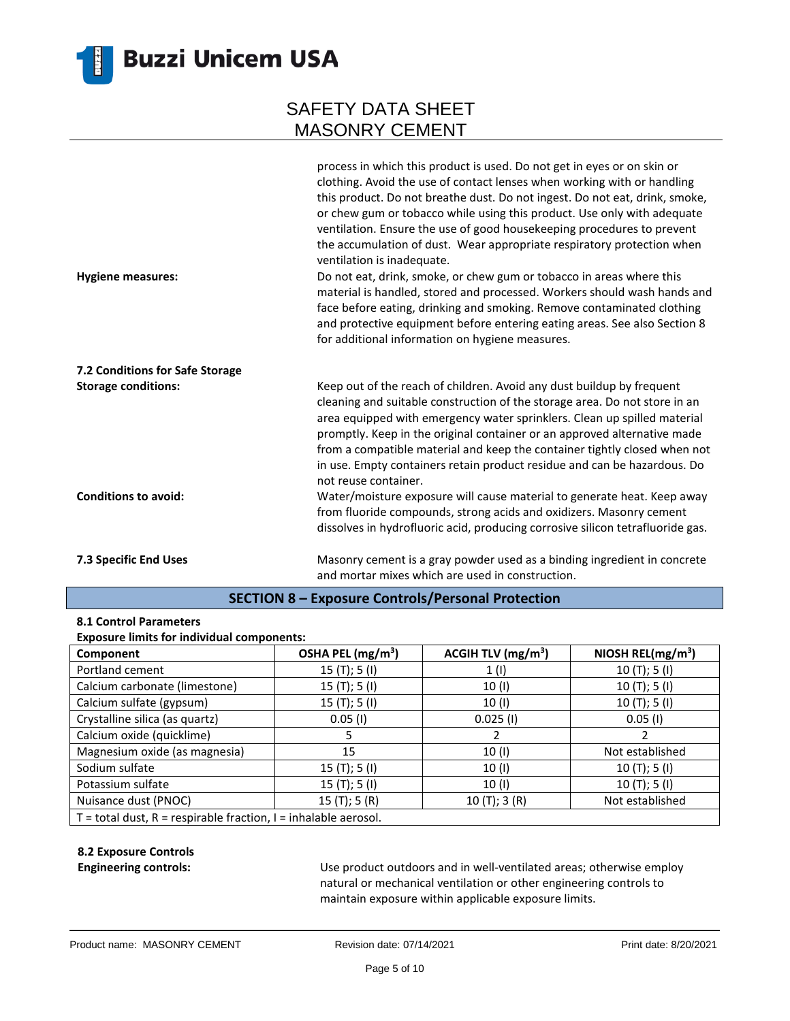

|                                 | process in which this product is used. Do not get in eyes or on skin or<br>clothing. Avoid the use of contact lenses when working with or handling<br>this product. Do not breathe dust. Do not ingest. Do not eat, drink, smoke,<br>or chew gum or tobacco while using this product. Use only with adequate<br>ventilation. Ensure the use of good housekeeping procedures to prevent<br>the accumulation of dust. Wear appropriate respiratory protection when<br>ventilation is inadequate. |
|---------------------------------|------------------------------------------------------------------------------------------------------------------------------------------------------------------------------------------------------------------------------------------------------------------------------------------------------------------------------------------------------------------------------------------------------------------------------------------------------------------------------------------------|
| <b>Hygiene measures:</b>        | Do not eat, drink, smoke, or chew gum or tobacco in areas where this<br>material is handled, stored and processed. Workers should wash hands and<br>face before eating, drinking and smoking. Remove contaminated clothing<br>and protective equipment before entering eating areas. See also Section 8<br>for additional information on hygiene measures.                                                                                                                                     |
| 7.2 Conditions for Safe Storage |                                                                                                                                                                                                                                                                                                                                                                                                                                                                                                |
| <b>Storage conditions:</b>      | Keep out of the reach of children. Avoid any dust buildup by frequent<br>cleaning and suitable construction of the storage area. Do not store in an<br>area equipped with emergency water sprinklers. Clean up spilled material<br>promptly. Keep in the original container or an approved alternative made<br>from a compatible material and keep the container tightly closed when not<br>in use. Empty containers retain product residue and can be hazardous. Do<br>not reuse container.   |
| <b>Conditions to avoid:</b>     | Water/moisture exposure will cause material to generate heat. Keep away<br>from fluoride compounds, strong acids and oxidizers. Masonry cement<br>dissolves in hydrofluoric acid, producing corrosive silicon tetrafluoride gas.                                                                                                                                                                                                                                                               |
| 7.3 Specific End Uses           | Masonry cement is a gray powder used as a binding ingredient in concrete<br>and mortar mixes which are used in construction.                                                                                                                                                                                                                                                                                                                                                                   |

### **SECTION 8 – Exposure Controls/Personal Protection**

#### **8.1 Control Parameters**

#### **Exposure limits for individual components:**

| Component                                                             | OSHA PEL (mg/m <sup>3</sup> ) | ACGIH TLV $(mg/m3)$ | NIOSH REL( $mg/m3$ ) |
|-----------------------------------------------------------------------|-------------------------------|---------------------|----------------------|
| Portland cement                                                       | 15 $(T);$ 5 $(I)$             | 1(1)                | 10(T); 5(I)          |
| Calcium carbonate (limestone)                                         | 15 $(T);$ 5 $(I)$             | 10 (I)              | 10(T); 5(I)          |
| Calcium sulfate (gypsum)                                              | 15 $(T);$ 5 $(I)$             | 10 (I)              | 10(T); 5(I)          |
| Crystalline silica (as quartz)                                        | $0.05$ (I)                    | $0.025$ (I)         | $0.05$ (I)           |
| Calcium oxide (quicklime)                                             |                               |                     |                      |
| Magnesium oxide (as magnesia)                                         | 15                            | 10(1)               | Not established      |
| Sodium sulfate                                                        | 15(T); 5(I)                   | 10(1)               | 10(T); 5(I)          |
| Potassium sulfate                                                     | 15 $(T);$ 5 $(I)$             | 10(1)               | 10(T); 5(I)          |
| Nuisance dust (PNOC)                                                  | 15 $(T); 5(R)$                | 10(T); 3(R)         | Not established      |
| $T =$ total dust, $R =$ respirable fraction, $I =$ inhalable aerosol. |                               |                     |                      |

#### **8.2 Exposure Controls**

**Engineering controls:** Use product outdoors and in well-ventilated areas; otherwise employ natural or mechanical ventilation or other engineering controls to maintain exposure within applicable exposure limits.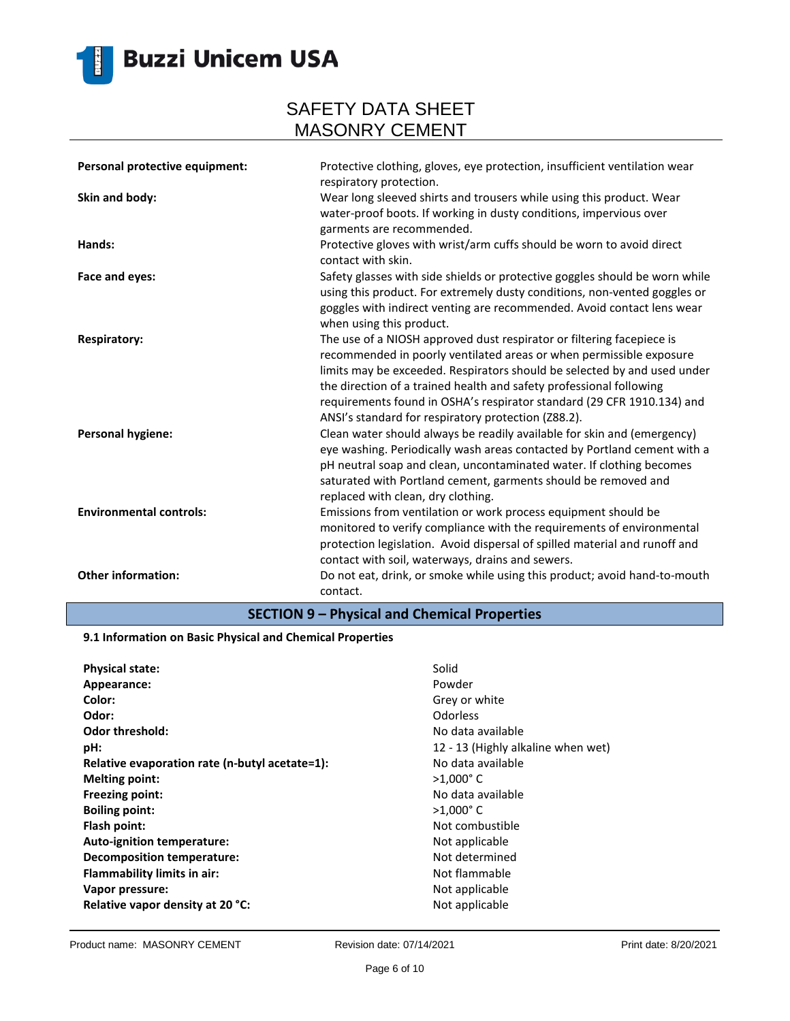

| Personal protective equipment: | Protective clothing, gloves, eye protection, insufficient ventilation wear<br>respiratory protection.                                                                                                                                                                                                                                                                                                                            |
|--------------------------------|----------------------------------------------------------------------------------------------------------------------------------------------------------------------------------------------------------------------------------------------------------------------------------------------------------------------------------------------------------------------------------------------------------------------------------|
| Skin and body:                 | Wear long sleeved shirts and trousers while using this product. Wear<br>water-proof boots. If working in dusty conditions, impervious over<br>garments are recommended.                                                                                                                                                                                                                                                          |
| Hands:                         | Protective gloves with wrist/arm cuffs should be worn to avoid direct<br>contact with skin.                                                                                                                                                                                                                                                                                                                                      |
| Face and eyes:                 | Safety glasses with side shields or protective goggles should be worn while<br>using this product. For extremely dusty conditions, non-vented goggles or<br>goggles with indirect venting are recommended. Avoid contact lens wear<br>when using this product.                                                                                                                                                                   |
| <b>Respiratory:</b>            | The use of a NIOSH approved dust respirator or filtering facepiece is<br>recommended in poorly ventilated areas or when permissible exposure<br>limits may be exceeded. Respirators should be selected by and used under<br>the direction of a trained health and safety professional following<br>requirements found in OSHA's respirator standard (29 CFR 1910.134) and<br>ANSI's standard for respiratory protection (Z88.2). |
| <b>Personal hygiene:</b>       | Clean water should always be readily available for skin and (emergency)<br>eye washing. Periodically wash areas contacted by Portland cement with a<br>pH neutral soap and clean, uncontaminated water. If clothing becomes<br>saturated with Portland cement, garments should be removed and<br>replaced with clean, dry clothing.                                                                                              |
| <b>Environmental controls:</b> | Emissions from ventilation or work process equipment should be<br>monitored to verify compliance with the requirements of environmental<br>protection legislation. Avoid dispersal of spilled material and runoff and<br>contact with soil, waterways, drains and sewers.                                                                                                                                                        |
| <b>Other information:</b>      | Do not eat, drink, or smoke while using this product; avoid hand-to-mouth<br>contact.                                                                                                                                                                                                                                                                                                                                            |

### **SECTION 9 – Physical and Chemical Properties**

#### **9.1 Information on Basic Physical and Chemical Properties**

| <b>Physical state:</b>                         | Solid                              |
|------------------------------------------------|------------------------------------|
| Appearance:                                    | Powder                             |
| Color:                                         | Grey or white                      |
| Odor:                                          | <b>Odorless</b>                    |
| <b>Odor threshold:</b>                         | No data available                  |
| pH:                                            | 12 - 13 (Highly alkaline when wet) |
| Relative evaporation rate (n-butyl acetate=1): | No data available                  |
| <b>Melting point:</b>                          | $>1.000$ °C                        |
| <b>Freezing point:</b>                         | No data available                  |
| <b>Boiling point:</b>                          | $>1,000$ °C                        |
| Flash point:                                   | Not combustible                    |
| Auto-ignition temperature:                     | Not applicable                     |
| <b>Decomposition temperature:</b>              | Not determined                     |
| <b>Flammability limits in air:</b>             | Not flammable                      |
| Vapor pressure:                                | Not applicable                     |
| Relative vapor density at 20 °C:               | Not applicable                     |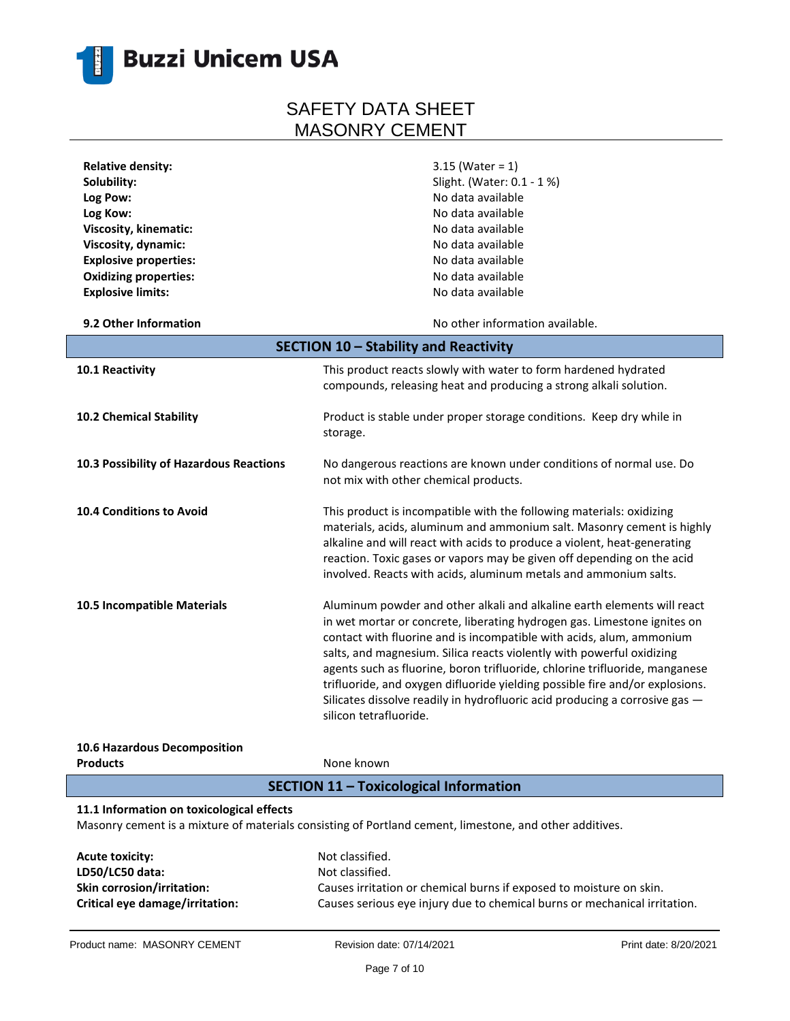

| <b>Relative density:</b>                  | $3.15$ (Water = 1)                                                                                      |
|-------------------------------------------|---------------------------------------------------------------------------------------------------------|
| Solubility:                               | Slight. (Water: 0.1 - 1 %)                                                                              |
| Log Pow:                                  | No data available                                                                                       |
| Log Kow:                                  | No data available                                                                                       |
| Viscosity, kinematic:                     | No data available                                                                                       |
| Viscosity, dynamic:                       | No data available                                                                                       |
| <b>Explosive properties:</b>              | No data available                                                                                       |
| <b>Oxidizing properties:</b>              | No data available                                                                                       |
| <b>Explosive limits:</b>                  | No data available                                                                                       |
|                                           |                                                                                                         |
| 9.2 Other Information                     | No other information available.                                                                         |
|                                           | SECTION 10 - Stability and Reactivity                                                                   |
| 10.1 Reactivity                           | This product reacts slowly with water to form hardened hydrated                                         |
|                                           | compounds, releasing heat and producing a strong alkali solution.                                       |
|                                           |                                                                                                         |
| 10.2 Chemical Stability                   | Product is stable under proper storage conditions. Keep dry while in                                    |
|                                           | storage.                                                                                                |
|                                           |                                                                                                         |
| 10.3 Possibility of Hazardous Reactions   | No dangerous reactions are known under conditions of normal use. Do                                     |
|                                           | not mix with other chemical products.                                                                   |
|                                           |                                                                                                         |
| <b>10.4 Conditions to Avoid</b>           | This product is incompatible with the following materials: oxidizing                                    |
|                                           | materials, acids, aluminum and ammonium salt. Masonry cement is highly                                  |
|                                           | alkaline and will react with acids to produce a violent, heat-generating                                |
|                                           | reaction. Toxic gases or vapors may be given off depending on the acid                                  |
|                                           | involved. Reacts with acids, aluminum metals and ammonium salts.                                        |
|                                           |                                                                                                         |
| 10.5 Incompatible Materials               | Aluminum powder and other alkali and alkaline earth elements will react                                 |
|                                           | in wet mortar or concrete, liberating hydrogen gas. Limestone ignites on                                |
|                                           | contact with fluorine and is incompatible with acids, alum, ammonium                                    |
|                                           | salts, and magnesium. Silica reacts violently with powerful oxidizing                                   |
|                                           | agents such as fluorine, boron trifluoride, chlorine trifluoride, manganese                             |
|                                           | trifluoride, and oxygen difluoride yielding possible fire and/or explosions.                            |
|                                           | Silicates dissolve readily in hydrofluoric acid producing a corrosive gas -                             |
|                                           | silicon tetrafluoride.                                                                                  |
|                                           |                                                                                                         |
| 10.6 Hazardous Decomposition              |                                                                                                         |
| <b>Products</b>                           | None known                                                                                              |
|                                           | <b>SECTION 11 - Toxicological Information</b>                                                           |
|                                           |                                                                                                         |
| 11.1 Information on toxicological effects |                                                                                                         |
|                                           | Masonry cement is a mixture of materials consisting of Portland cement, limestone, and other additives. |
|                                           |                                                                                                         |
| <b>Acute toxicity:</b>                    | Not classified.                                                                                         |
| LD50/LC50 data:                           | Not classified.                                                                                         |
| Skin corrosion/irritation:                | Causes irritation or chemical burns if exposed to moisture on skin.                                     |
| Critical eye damage/irritation:           | Causes serious eye injury due to chemical burns or mechanical irritation.                               |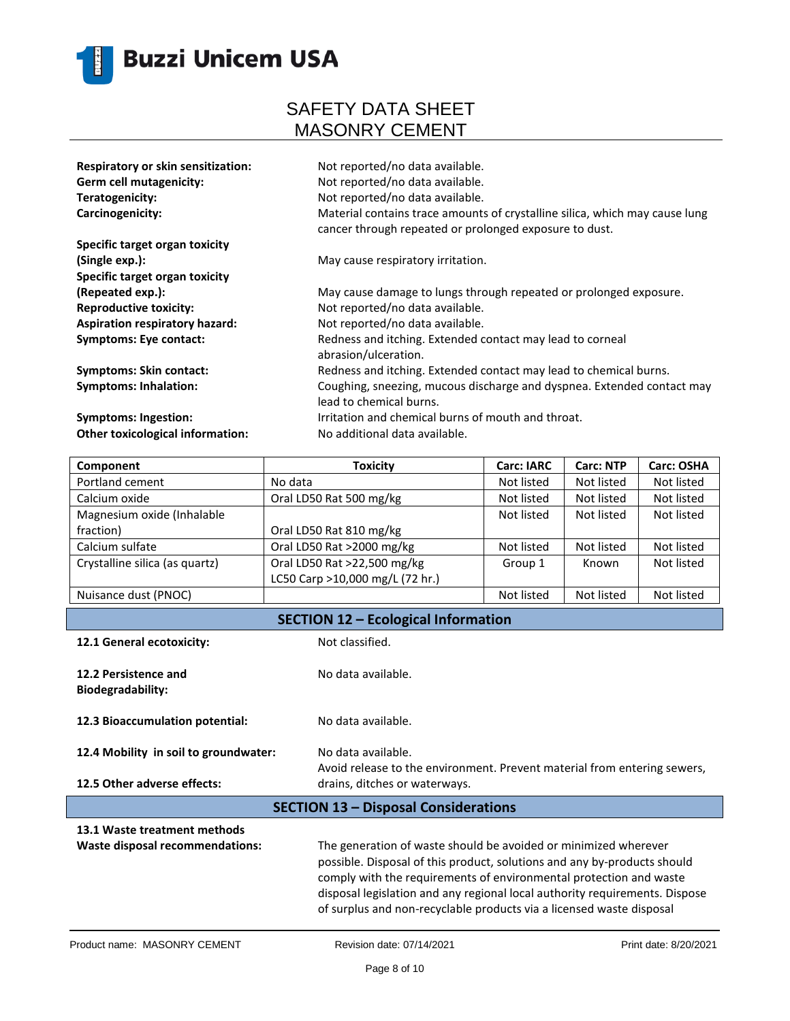

| Respiratory or skin sensitization: | Not reported/no data available.                                                                                                       |
|------------------------------------|---------------------------------------------------------------------------------------------------------------------------------------|
| <b>Germ cell mutagenicity:</b>     | Not reported/no data available.                                                                                                       |
| Teratogenicity:                    | Not reported/no data available.                                                                                                       |
| Carcinogenicity:                   | Material contains trace amounts of crystalline silica, which may cause lung<br>cancer through repeated or prolonged exposure to dust. |
| Specific target organ toxicity     |                                                                                                                                       |
| (Single exp.):                     | May cause respiratory irritation.                                                                                                     |
| Specific target organ toxicity     |                                                                                                                                       |
| (Repeated exp.):                   | May cause damage to lungs through repeated or prolonged exposure.                                                                     |
| <b>Reproductive toxicity:</b>      | Not reported/no data available.                                                                                                       |
| Aspiration respiratory hazard:     | Not reported/no data available.                                                                                                       |
| <b>Symptoms: Eye contact:</b>      | Redness and itching. Extended contact may lead to corneal<br>abrasion/ulceration.                                                     |
| <b>Symptoms: Skin contact:</b>     | Redness and itching. Extended contact may lead to chemical burns.                                                                     |
| <b>Symptoms: Inhalation:</b>       | Coughing, sneezing, mucous discharge and dyspnea. Extended contact may<br>lead to chemical burns.                                     |
| Symptoms: Ingestion:               | Irritation and chemical burns of mouth and throat.                                                                                    |
| Other toxicological information:   | No additional data available.                                                                                                         |
|                                    |                                                                                                                                       |

| Component                      | <b>Toxicity</b>                 | <b>Carc: IARC</b> | <b>Carc: NTP</b> | <b>Carc: OSHA</b> |
|--------------------------------|---------------------------------|-------------------|------------------|-------------------|
| Portland cement                | No data                         | Not listed        | Not listed       | Not listed        |
| Calcium oxide                  | Oral LD50 Rat 500 mg/kg         | Not listed        | Not listed       | Not listed        |
| Magnesium oxide (Inhalable     |                                 | Not listed        | Not listed       | Not listed        |
| fraction)                      | Oral LD50 Rat 810 mg/kg         |                   |                  |                   |
| Calcium sulfate                | Oral LD50 Rat >2000 mg/kg       | Not listed        | Not listed       | Not listed        |
| Crystalline silica (as quartz) | Oral LD50 Rat >22,500 mg/kg     | Group 1           | Known            | Not listed        |
|                                | LC50 Carp >10,000 mg/L (72 hr.) |                   |                  |                   |
| Nuisance dust (PNOC)           |                                 | Not listed        | Not listed       | Not listed        |

### **SECTION 12 – Ecological Information**

| 12.1 General ecotoxicity:                        | Not classified.                                                                                                                                                                                                                                                                                                                                                          |  |
|--------------------------------------------------|--------------------------------------------------------------------------------------------------------------------------------------------------------------------------------------------------------------------------------------------------------------------------------------------------------------------------------------------------------------------------|--|
| 12.2 Persistence and<br><b>Biodegradability:</b> | No data available.                                                                                                                                                                                                                                                                                                                                                       |  |
| 12.3 Bioaccumulation potential:                  | No data available.                                                                                                                                                                                                                                                                                                                                                       |  |
| 12.4 Mobility in soil to groundwater:            | No data available.<br>Avoid release to the environment. Prevent material from entering sewers,                                                                                                                                                                                                                                                                           |  |
| 12.5 Other adverse effects:                      | drains, ditches or waterways.                                                                                                                                                                                                                                                                                                                                            |  |
| <b>SECTION 13 - Disposal Considerations</b>      |                                                                                                                                                                                                                                                                                                                                                                          |  |
| 13.1 Waste treatment methods                     |                                                                                                                                                                                                                                                                                                                                                                          |  |
| Waste disposal recommendations:                  | The generation of waste should be avoided or minimized wherever<br>possible. Disposal of this product, solutions and any by-products should<br>comply with the requirements of environmental protection and waste<br>disposal legislation and any regional local authority requirements. Dispose<br>of surplus and non-recyclable products via a licensed waste disposal |  |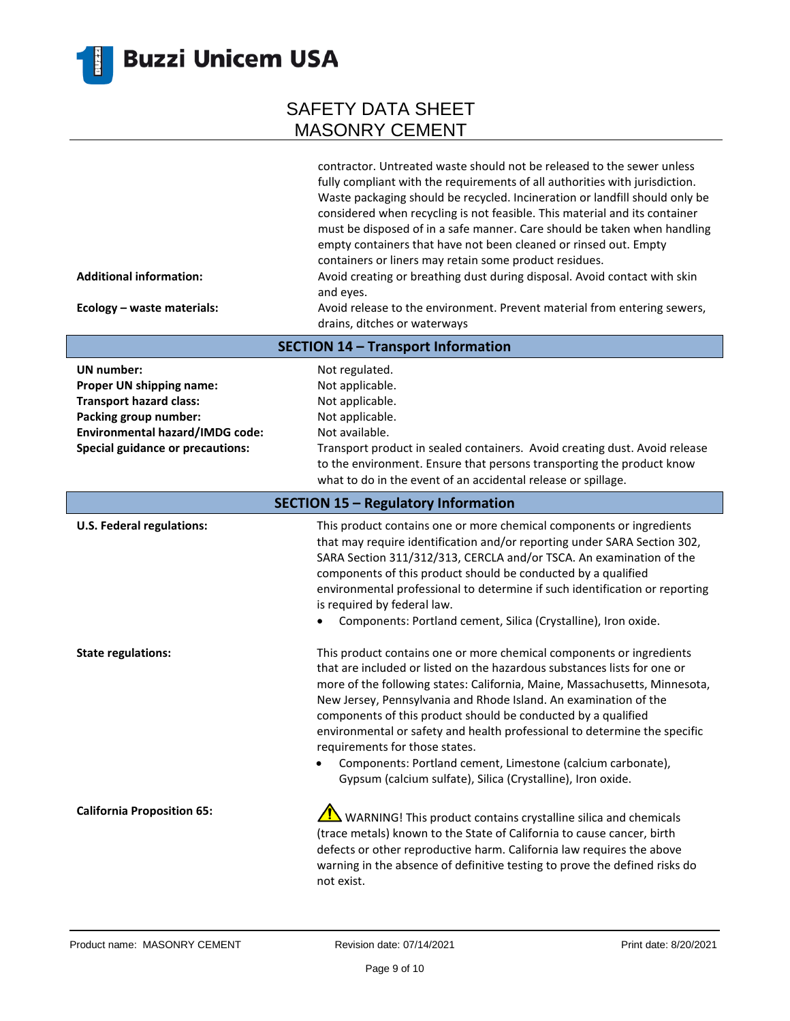

| <b>Additional information:</b><br>Ecology - waste materials:                                                                                                                    | contractor. Untreated waste should not be released to the sewer unless<br>fully compliant with the requirements of all authorities with jurisdiction.<br>Waste packaging should be recycled. Incineration or landfill should only be<br>considered when recycling is not feasible. This material and its container<br>must be disposed of in a safe manner. Care should be taken when handling<br>empty containers that have not been cleaned or rinsed out. Empty<br>containers or liners may retain some product residues.<br>Avoid creating or breathing dust during disposal. Avoid contact with skin<br>and eyes.<br>Avoid release to the environment. Prevent material from entering sewers,<br>drains, ditches or waterways |
|---------------------------------------------------------------------------------------------------------------------------------------------------------------------------------|------------------------------------------------------------------------------------------------------------------------------------------------------------------------------------------------------------------------------------------------------------------------------------------------------------------------------------------------------------------------------------------------------------------------------------------------------------------------------------------------------------------------------------------------------------------------------------------------------------------------------------------------------------------------------------------------------------------------------------|
|                                                                                                                                                                                 | <b>SECTION 14 - Transport Information</b>                                                                                                                                                                                                                                                                                                                                                                                                                                                                                                                                                                                                                                                                                          |
| UN number:<br>Proper UN shipping name:<br><b>Transport hazard class:</b><br>Packing group number:<br>Environmental hazard/IMDG code:<br><b>Special guidance or precautions:</b> | Not regulated.<br>Not applicable.<br>Not applicable.<br>Not applicable.<br>Not available.<br>Transport product in sealed containers. Avoid creating dust. Avoid release<br>to the environment. Ensure that persons transporting the product know<br>what to do in the event of an accidental release or spillage.                                                                                                                                                                                                                                                                                                                                                                                                                  |
|                                                                                                                                                                                 | <b>SECTION 15 - Regulatory Information</b>                                                                                                                                                                                                                                                                                                                                                                                                                                                                                                                                                                                                                                                                                         |
| <b>U.S. Federal regulations:</b>                                                                                                                                                | This product contains one or more chemical components or ingredients<br>that may require identification and/or reporting under SARA Section 302,<br>SARA Section 311/312/313, CERCLA and/or TSCA. An examination of the<br>components of this product should be conducted by a qualified<br>environmental professional to determine if such identification or reporting<br>is required by federal law.<br>Components: Portland cement, Silica (Crystalline), Iron oxide.                                                                                                                                                                                                                                                           |
| <b>State regulations:</b>                                                                                                                                                       | This product contains one or more chemical components or ingredients<br>that are included or listed on the hazardous substances lists for one or<br>more of the following states: California, Maine, Massachusetts, Minnesota,<br>New Jersey, Pennsylvania and Rhode Island. An examination of the<br>components of this product should be conducted by a qualified<br>environmental or safety and health professional to determine the specific<br>requirements for those states.<br>Components: Portland cement, Limestone (calcium carbonate),<br>Gypsum (calcium sulfate), Silica (Crystalline), Iron oxide.                                                                                                                   |
| <b>California Proposition 65:</b>                                                                                                                                               | $\sqrt{!}$ WARNING! This product contains crystalline silica and chemicals<br>(trace metals) known to the State of California to cause cancer, birth<br>defects or other reproductive harm. California law requires the above<br>warning in the absence of definitive testing to prove the defined risks do<br>not exist.                                                                                                                                                                                                                                                                                                                                                                                                          |